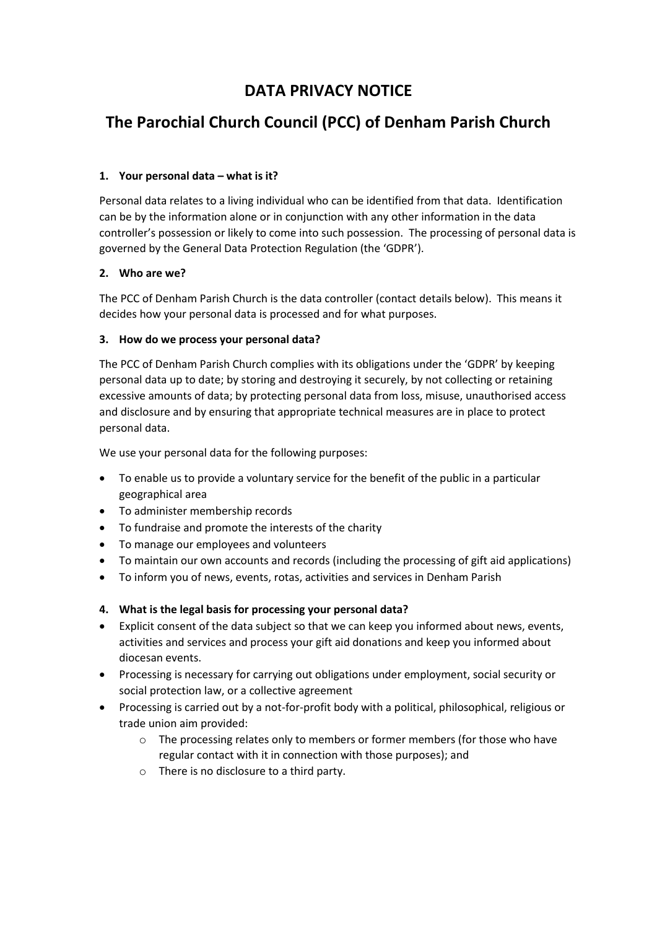# **DATA PRIVACY NOTICE**

# **The Parochial Church Council (PCC) of Denham Parish Church**

## **1. Your personal data – what is it?**

Personal data relates to a living individual who can be identified from that data. Identification can be by the information alone or in conjunction with any other information in the data controller's possession or likely to come into such possession. The processing of personal data is governed by the General Data Protection Regulation (the 'GDPR').

# **2. Who are we?**

The PCC of Denham Parish Church is the data controller (contact details below). This means it decides how your personal data is processed and for what purposes.

# **3. How do we process your personal data?**

The PCC of Denham Parish Church complies with its obligations under the 'GDPR' by keeping personal data up to date; by storing and destroying it securely, by not collecting or retaining excessive amounts of data; by protecting personal data from loss, misuse, unauthorised access and disclosure and by ensuring that appropriate technical measures are in place to protect personal data.

We use your personal data for the following purposes:

- To enable us to provide a voluntary service for the benefit of the public in a particular geographical area
- To administer membership records
- To fundraise and promote the interests of the charity
- To manage our employees and volunteers
- To maintain our own accounts and records (including the processing of gift aid applications)
- To inform you of news, events, rotas, activities and services in Denham Parish
- **4. What is the legal basis for processing your personal data?**
- Explicit consent of the data subject so that we can keep you informed about news, events, activities and services and process your gift aid donations and keep you informed about diocesan events.
- Processing is necessary for carrying out obligations under employment, social security or social protection law, or a collective agreement
- Processing is carried out by a not-for-profit body with a political, philosophical, religious or trade union aim provided:
	- o The processing relates only to members or former members (for those who have regular contact with it in connection with those purposes); and
	- o There is no disclosure to a third party.